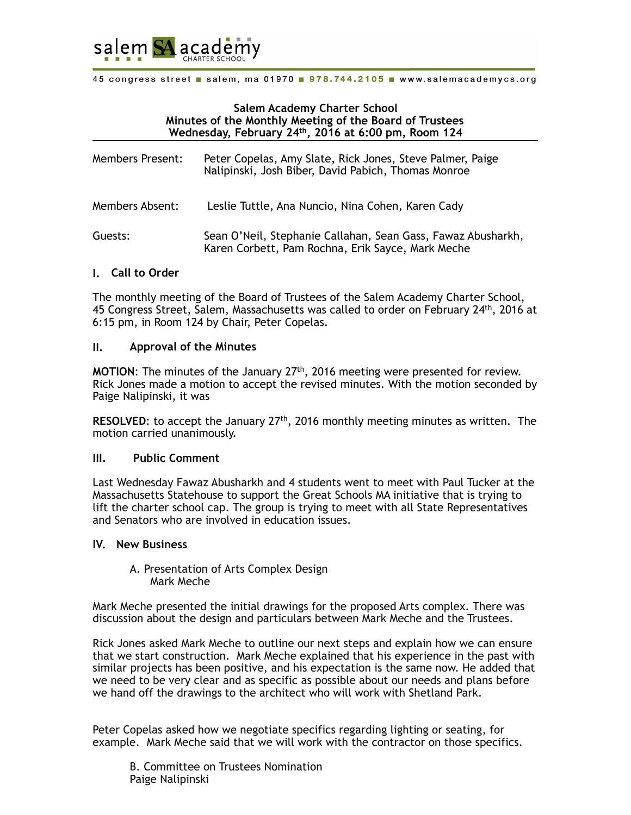

#### **Salem Academy Charter School Minutes of the Monthly Meeting of the Board of Trustees Wednesday, February 24th, 2016 at 6:00 pm, Room 124**

| <b>Members Present:</b> | Peter Copelas, Amy Slate, Rick Jones, Steve Palmer, Paige<br>Nalipinski, Josh Biber, David Pabich, Thomas Monroe  |
|-------------------------|-------------------------------------------------------------------------------------------------------------------|
| Members Absent:         | Leslie Tuttle, Ana Nuncio, Nina Cohen, Karen Cady                                                                 |
| Guests:                 | Sean O'Neil, Stephanie Callahan, Sean Gass, Fawaz Abusharkh,<br>Karen Corbett, Pam Rochna, Erik Sayce, Mark Meche |

#### **I. Call to Order**

The monthly meeting of the Board of Trustees of the Salem Academy Charter School, 45 Congress Street, Salem, Massachusetts was called to order on February 24th, 2016 at 6:15 pm, in Room 124 by Chair, Peter Copelas.

#### **II. Approval of the Minutes**

**MOTION**: The minutes of the January 27th, 2016 meeting were presented for review. Rick Jones made a motion to accept the revised minutes. With the motion seconded by Paige Nalipinski, it was

**RESOLVED:** to accept the January 27<sup>th</sup>, 2016 monthly meeting minutes as written. The motion carried unanimously.

#### **III. Public Comment**

Last Wednesday Fawaz Abusharkh and 4 students went to meet with Paul Tucker at the Massachusetts Statehouse to support the Great Schools MA initiative that is trying to lift the charter school cap. The group is trying to meet with all State Representatives and Senators who are involved in education issues.

#### **IV. New Business**

#### A. Presentation of Arts Complex Design Mark Meche

Mark Meche presented the initial drawings for the proposed Arts complex. There was discussion about the design and particulars between Mark Meche and the Trustees.

Rick Jones asked Mark Meche to outline our next steps and explain how we can ensure that we start construction. Mark Meche explained that his experience in the past with similar projects has been positive, and his expectation is the same now. He added that we need to be very clear and as specific as possible about our needs and plans before we hand off the drawings to the architect who will work with Shetland Park.

Peter Copelas asked how we negotiate specifics regarding lighting or seating, for example. Mark Meche said that we will work with the contractor on those specifics.

 B. Committee on Trustees Nomination Paige Nalipinski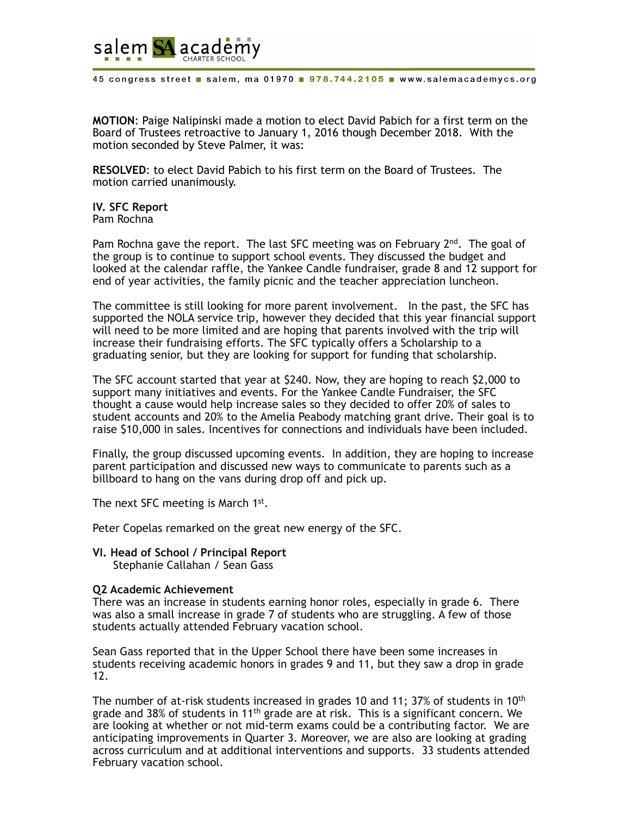

**MOTION**: Paige Nalipinski made a motion to elect David Pabich for a first term on the Board of Trustees retroactive to January 1, 2016 though December 2018. With the motion seconded by Steve Palmer, it was:

**RESOLVED**: to elect David Pabich to his first term on the Board of Trustees. The motion carried unanimously.

**IV. SFC Report**  Pam Rochna

Pam Rochna gave the report. The last SFC meeting was on February  $2^{nd}$ . The goal of the group is to continue to support school events. They discussed the budget and looked at the calendar raffle, the Yankee Candle fundraiser, grade 8 and 12 support for end of year activities, the family picnic and the teacher appreciation luncheon.

The committee is still looking for more parent involvement. In the past, the SFC has supported the NOLA service trip, however they decided that this year financial support will need to be more limited and are hoping that parents involved with the trip will increase their fundraising efforts. The SFC typically offers a Scholarship to a graduating senior, but they are looking for support for funding that scholarship.

The SFC account started that year at \$240. Now, they are hoping to reach \$2,000 to support many initiatives and events. For the Yankee Candle Fundraiser, the SFC thought a cause would help increase sales so they decided to offer 20% of sales to student accounts and 20% to the Amelia Peabody matching grant drive. Their goal is to raise \$10,000 in sales. Incentives for connections and individuals have been included.

Finally, the group discussed upcoming events. In addition, they are hoping to increase parent participation and discussed new ways to communicate to parents such as a billboard to hang on the vans during drop off and pick up.

The next SFC meeting is March 1<sup>st</sup>.

Peter Copelas remarked on the great new energy of the SFC.

# **VI. Head of School / Principal Report**

Stephanie Callahan / Sean Gass

#### **Q2 Academic Achievement**

There was an increase in students earning honor roles, especially in grade 6. There was also a small increase in grade 7 of students who are struggling. A few of those students actually attended February vacation school.

Sean Gass reported that in the Upper School there have been some increases in students receiving academic honors in grades 9 and 11, but they saw a drop in grade 12.

The number of at-risk students increased in grades 10 and 11; 37% of students in 10<sup>th</sup> grade and 38% of students in 11<sup>th</sup> grade are at risk. This is a significant concern. We are looking at whether or not mid-term exams could be a contributing factor. We are anticipating improvements in Quarter 3. Moreover, we are also are looking at grading across curriculum and at additional interventions and supports. 33 students attended February vacation school.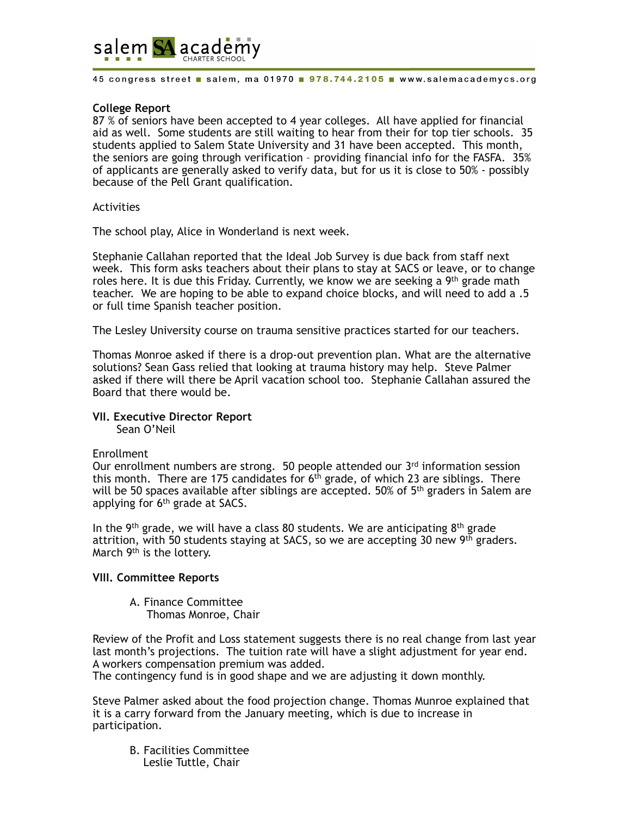

### **College Report**

87 % of seniors have been accepted to 4 year colleges. All have applied for financial aid as well. Some students are still waiting to hear from their for top tier schools. 35 students applied to Salem State University and 31 have been accepted. This month, the seniors are going through verification – providing financial info for the FASFA. 35% of applicants are generally asked to verify data, but for us it is close to 50% - possibly because of the Pell Grant qualification.

#### **Activities**

The school play, Alice in Wonderland is next week.

Stephanie Callahan reported that the Ideal Job Survey is due back from staff next week. This form asks teachers about their plans to stay at SACS or leave, or to change roles here. It is due this Friday. Currently, we know we are seeking a  $9<sup>th</sup>$  grade math teacher. We are hoping to be able to expand choice blocks, and will need to add a .5 or full time Spanish teacher position.

The Lesley University course on trauma sensitive practices started for our teachers.

Thomas Monroe asked if there is a drop-out prevention plan. What are the alternative solutions? Sean Gass relied that looking at trauma history may help. Steve Palmer asked if there will there be April vacation school too. Stephanie Callahan assured the Board that there would be.

# **VII. Executive Director Report**

Sean O'Neil

#### Enrollment

Our enrollment numbers are strong. 50 people attended our  $3<sup>rd</sup>$  information session this month. There are 175 candidates for  $6<sup>th</sup>$  grade, of which 23 are siblings. There will be 50 spaces available after siblings are accepted. 50% of 5<sup>th</sup> graders in Salem are applying for  $6<sup>th</sup>$  grade at SACS.

In the 9<sup>th</sup> grade, we will have a class 80 students. We are anticipating  $8<sup>th</sup>$  grade attrition, with 50 students staying at SACS, so we are accepting 30 new 9<sup>th</sup> graders. March 9<sup>th</sup> is the lottery.

#### **VIII. Committee Reports**

A. Finance Committee Thomas Monroe, Chair

Review of the Profit and Loss statement suggests there is no real change from last year last month's projections. The tuition rate will have a slight adjustment for year end. A workers compensation premium was added.

The contingency fund is in good shape and we are adjusting it down monthly.

Steve Palmer asked about the food projection change. Thomas Munroe explained that it is a carry forward from the January meeting, which is due to increase in participation.

B. Facilities Committee Leslie Tuttle, Chair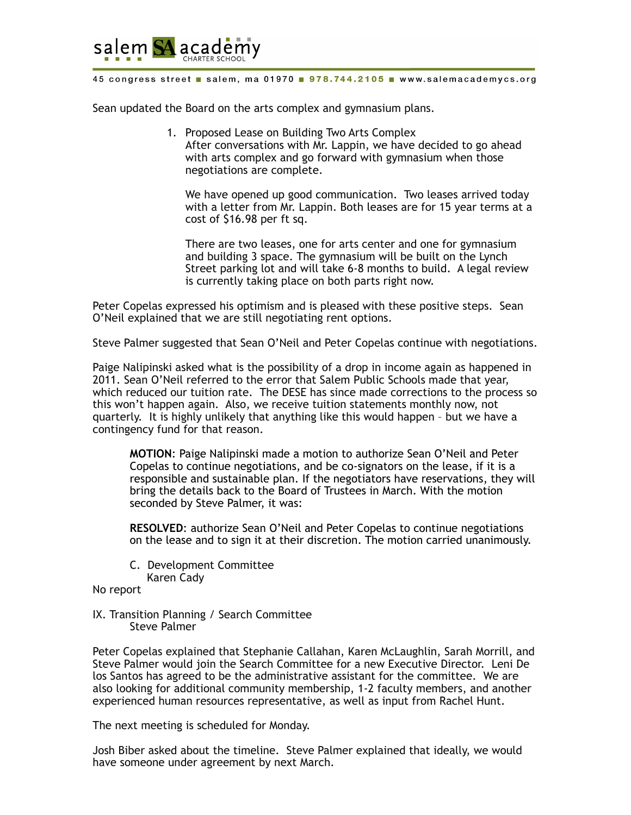

Sean updated the Board on the arts complex and gymnasium plans.

- 1. Proposed Lease on Building Two Arts Complex
	- After conversations with Mr. Lappin, we have decided to go ahead with arts complex and go forward with gymnasium when those negotiations are complete.

We have opened up good communication. Two leases arrived today with a letter from Mr. Lappin. Both leases are for 15 year terms at a cost of \$16.98 per ft sq.

There are two leases, one for arts center and one for gymnasium and building 3 space. The gymnasium will be built on the Lynch Street parking lot and will take 6-8 months to build. A legal review is currently taking place on both parts right now.

Peter Copelas expressed his optimism and is pleased with these positive steps. Sean O'Neil explained that we are still negotiating rent options.

Steve Palmer suggested that Sean O'Neil and Peter Copelas continue with negotiations.

Paige Nalipinski asked what is the possibility of a drop in income again as happened in 2011. Sean O'Neil referred to the error that Salem Public Schools made that year, which reduced our tuition rate. The DESE has since made corrections to the process so this won't happen again. Also, we receive tuition statements monthly now, not quarterly. It is highly unlikely that anything like this would happen – but we have a contingency fund for that reason.

**MOTION**: Paige Nalipinski made a motion to authorize Sean O'Neil and Peter Copelas to continue negotiations, and be co-signators on the lease, if it is a responsible and sustainable plan. If the negotiators have reservations, they will bring the details back to the Board of Trustees in March. With the motion seconded by Steve Palmer, it was:

**RESOLVED**: authorize Sean O'Neil and Peter Copelas to continue negotiations on the lease and to sign it at their discretion. The motion carried unanimously.

C. Development Committee

Karen Cady

No report

IX. Transition Planning / Search Committee Steve Palmer

Peter Copelas explained that Stephanie Callahan, Karen McLaughlin, Sarah Morrill, and Steve Palmer would join the Search Committee for a new Executive Director. Leni De los Santos has agreed to be the administrative assistant for the committee. We are also looking for additional community membership, 1-2 faculty members, and another experienced human resources representative, as well as input from Rachel Hunt.

The next meeting is scheduled for Monday.

Josh Biber asked about the timeline. Steve Palmer explained that ideally, we would have someone under agreement by next March.